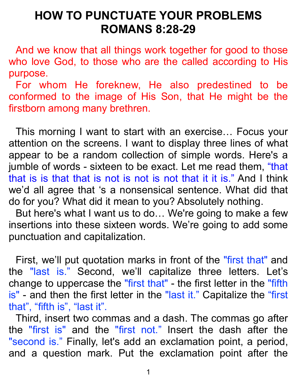## **HOW TO PUNCTUATE YOUR PROBLEMS ROMANS 8:28-29**

And we know that all things work together for good to those who love God, to those who are the called according to His purpose.

For whom He foreknew, He also predestined to be conformed to the image of His Son, that He might be the firstborn among many brethren.

This morning I want to start with an exercise… Focus your attention on the screens. I want to display three lines of what appear to be a random collection of simple words. Here's a jumble of words - sixteen to be exact. Let me read them, "that that is is that that is not is not is not that it it is." And I think we'd all agree that 's a nonsensical sentence. What did that do for you? What did it mean to you? Absolutely nothing.

But here's what I want us to do… We're going to make a few insertions into these sixteen words. We're going to add some punctuation and capitalization.

First, we'll put quotation marks in front of the "first that" and the "last is." Second, we'll capitalize three letters. Let's change to uppercase the "first that" - the first letter in the "fifth is" - and then the first letter in the "last it." Capitalize the "first that", "fifth is", "last it".

Third, insert two commas and a dash. The commas go after the "first is" and the "first not." Insert the dash after the "second is." Finally, let's add an exclamation point, a period, and a question mark. Put the exclamation point after the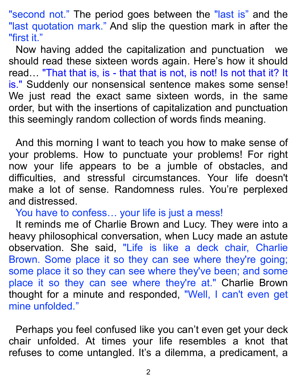"second not." The period goes between the "last is" and the "last quotation mark." And slip the question mark in after the "first it."

Now having added the capitalization and punctuation we should read these sixteen words again. Here's how it should read… "That that is, is - that that is not, is not! Is not that it? It is." Suddenly our nonsensical sentence makes some sense! We just read the exact same sixteen words, in the same order, but with the insertions of capitalization and punctuation this seemingly random collection of words finds meaning.

And this morning I want to teach you how to make sense of your problems. How to punctuate your problems! For right now your life appears to be a jumble of obstacles, and difficulties, and stressful circumstances. Your life doesn't make a lot of sense. Randomness rules. You're perplexed and distressed.

You have to confess… your life is just a mess!

It reminds me of Charlie Brown and Lucy. They were into a heavy philosophical conversation, when Lucy made an astute observation. She said, "Life is like a deck chair, Charlie Brown. Some place it so they can see where they're going; some place it so they can see where they've been; and some place it so they can see where they're at." Charlie Brown thought for a minute and responded, "Well, I can't even get mine unfolded."

Perhaps you feel confused like you can't even get your deck chair unfolded. At times your life resembles a knot that refuses to come untangled. It's a dilemma, a predicament, a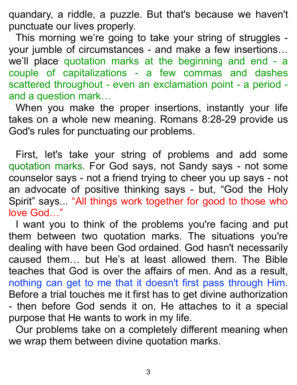quandary, a riddle, a puzzle. But that's because we haven't punctuate our lives properly.

This morning we're going to take your string of struggles your jumble of circumstances - and make a few insertions… we'll place quotation marks at the beginning and end - a couple of capitalizations - a few commas and dashes scattered throughout - even an exclamation point - a period and a question mark…

When you make the proper insertions, instantly your life takes on a whole new meaning. Romans 8:28-29 provide us God's rules for punctuating our problems.

First, let's take your string of problems and add some quotation marks. For God says, not Sandy says - not some counselor says - not a friend trying to cheer you up says - not an advocate of positive thinking says - but, "God the Holy Spirit" says... "All things work together for good to those who love God…"

I want you to think of the problems you're facing and put them between two quotation marks. The situations you're dealing with have been God ordained. God hasn't necessarily caused them… but He's at least allowed them. The Bible teaches that God is over the affairs of men. And as a result, nothing can get to me that it doesn't first pass through Him. Before a trial touches me it first has to get divine authorization - then before God sends it on, He attaches to it a special purpose that He wants to work in my life.

Our problems take on a completely different meaning when we wrap them between divine quotation marks.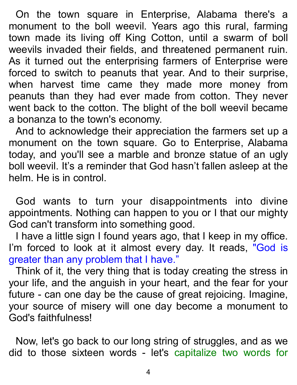On the town square in Enterprise, Alabama there's a monument to the boll weevil. Years ago this rural, farming town made its living off King Cotton, until a swarm of boll weevils invaded their fields, and threatened permanent ruin. As it turned out the enterprising farmers of Enterprise were forced to switch to peanuts that year. And to their surprise, when harvest time came they made more money from peanuts than they had ever made from cotton. They never went back to the cotton. The blight of the boll weevil became a bonanza to the town's economy.

And to acknowledge their appreciation the farmers set up a monument on the town square. Go to Enterprise, Alabama today, and you'll see a marble and bronze statue of an ugly boll weevil. It's a reminder that God hasn't fallen asleep at the helm. He is in control.

God wants to turn your disappointments into divine appointments. Nothing can happen to you or I that our mighty God can't transform into something good.

I have a little sign I found years ago, that I keep in my office. I'm forced to look at it almost every day. It reads, "God is greater than any problem that I have."

Think of it, the very thing that is today creating the stress in your life, and the anguish in your heart, and the fear for your future - can one day be the cause of great rejoicing. Imagine, your source of misery will one day become a monument to God's faithfulness!

Now, let's go back to our long string of struggles, and as we did to those sixteen words - let's capitalize two words for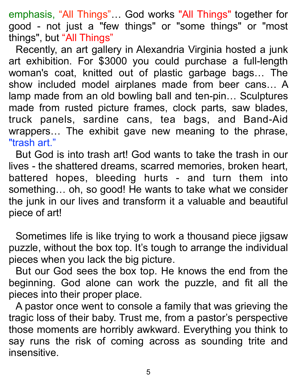emphasis, "All Things"… God works "All Things" together for good - not just a "few things" or "some things" or "most things", but "All Things"

Recently, an art gallery in Alexandria Virginia hosted a junk art exhibition. For \$3000 you could purchase a full-length woman's coat, knitted out of plastic garbage bags… The show included model airplanes made from beer cans… A lamp made from an old bowling ball and ten-pin… Sculptures made from rusted picture frames, clock parts, saw blades, truck panels, sardine cans, tea bags, and Band-Aid wrappers… The exhibit gave new meaning to the phrase, "trash art."

But God is into trash art! God wants to take the trash in our lives - the shattered dreams, scarred memories, broken heart, battered hopes, bleeding hurts - and turn them into something… oh, so good! He wants to take what we consider the junk in our lives and transform it a valuable and beautiful piece of art!

Sometimes life is like trying to work a thousand piece jigsaw puzzle, without the box top. It's tough to arrange the individual pieces when you lack the big picture.

But our God sees the box top. He knows the end from the beginning. God alone can work the puzzle, and fit all the pieces into their proper place.

A pastor once went to console a family that was grieving the tragic loss of their baby. Trust me, from a pastor's perspective those moments are horribly awkward. Everything you think to say runs the risk of coming across as sounding trite and insensitive.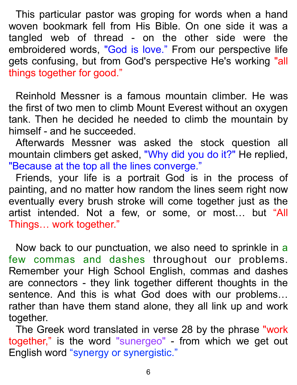This particular pastor was groping for words when a hand woven bookmark fell from His Bible. On one side it was a tangled web of thread - on the other side were the embroidered words, "God is love." From our perspective life gets confusing, but from God's perspective He's working "all things together for good."

Reinhold Messner is a famous mountain climber. He was the first of two men to climb Mount Everest without an oxygen tank. Then he decided he needed to climb the mountain by himself - and he succeeded.

Afterwards Messner was asked the stock question all mountain climbers get asked, "Why did you do it?" He replied, "Because at the top all the lines converge."

Friends, your life is a portrait God is in the process of painting, and no matter how random the lines seem right now eventually every brush stroke will come together just as the artist intended. Not a few, or some, or most… but "All Things… work together."

Now back to our punctuation, we also need to sprinkle in a few commas and dashes throughout our problems. Remember your High School English, commas and dashes are connectors - they link together different thoughts in the sentence. And this is what God does with our problems… rather than have them stand alone, they all link up and work together.

The Greek word translated in verse 28 by the phrase "work together," is the word "sunergeo" - from which we get out English word "synergy or synergistic."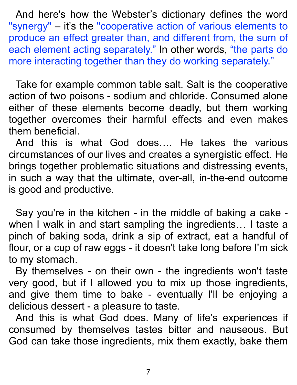And here's how the Webster's dictionary defines the word "synergy" – it's the "cooperative action of various elements to produce an effect greater than, and different from, the sum of each element acting separately." In other words, "the parts do more interacting together than they do working separately."

Take for example common table salt. Salt is the cooperative action of two poisons - sodium and chloride. Consumed alone either of these elements become deadly, but them working together overcomes their harmful effects and even makes them beneficial.

And this is what God does…. He takes the various circumstances of our lives and creates a synergistic effect. He brings together problematic situations and distressing events, in such a way that the ultimate, over-all, in-the-end outcome is good and productive.

Say you're in the kitchen - in the middle of baking a cake when I walk in and start sampling the ingredients... I taste a pinch of baking soda, drink a sip of extract, eat a handful of flour, or a cup of raw eggs - it doesn't take long before I'm sick to my stomach.

By themselves - on their own - the ingredients won't taste very good, but if I allowed you to mix up those ingredients, and give them time to bake - eventually I'll be enjoying a delicious dessert - a pleasure to taste.

And this is what God does. Many of life's experiences if consumed by themselves tastes bitter and nauseous. But God can take those ingredients, mix them exactly, bake them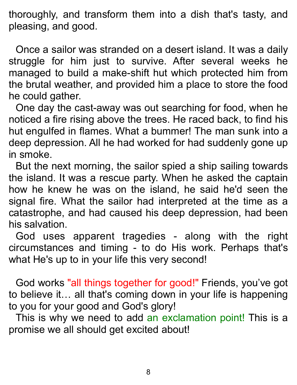thoroughly, and transform them into a dish that's tasty, and pleasing, and good.

Once a sailor was stranded on a desert island. It was a daily struggle for him just to survive. After several weeks he managed to build a make-shift hut which protected him from the brutal weather, and provided him a place to store the food he could gather.

One day the cast-away was out searching for food, when he noticed a fire rising above the trees. He raced back, to find his hut engulfed in flames. What a bummer! The man sunk into a deep depression. All he had worked for had suddenly gone up in smoke.

But the next morning, the sailor spied a ship sailing towards the island. It was a rescue party. When he asked the captain how he knew he was on the island, he said he'd seen the signal fire. What the sailor had interpreted at the time as a catastrophe, and had caused his deep depression, had been his salvation.

God uses apparent tragedies - along with the right circumstances and timing - to do His work. Perhaps that's what He's up to in your life this very second!

God works "all things together for good!" Friends, you've got to believe it… all that's coming down in your life is happening to you for your good and God's glory!

This is why we need to add an exclamation point! This is a promise we all should get excited about!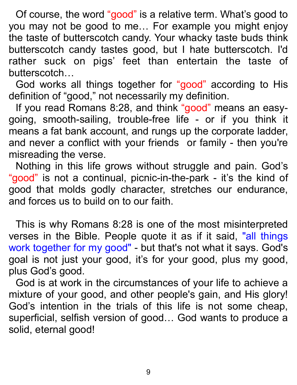Of course, the word "good" is a relative term. What's good to you may not be good to me… For example you might enjoy the taste of butterscotch candy. Your whacky taste buds think butterscotch candy tastes good, but I hate butterscotch. I'd rather suck on pigs' feet than entertain the taste of butterscotch…

God works all things together for "good" according to His definition of "good," not necessarily my definition.

If you read Romans 8:28, and think "good" means an easygoing, smooth-sailing, trouble-free life - or if you think it means a fat bank account, and rungs up the corporate ladder, and never a conflict with your friends or family - then you're misreading the verse.

Nothing in this life grows without struggle and pain. God's "good" is not a continual, picnic-in-the-park - it's the kind of good that molds godly character, stretches our endurance, and forces us to build on to our faith.

This is why Romans 8:28 is one of the most misinterpreted verses in the Bible. People quote it as if it said, "all things work together for my good" - but that's not what it says. God's goal is not just your good, it's for your good, plus my good, plus God's good.

God is at work in the circumstances of your life to achieve a mixture of your good, and other people's gain, and His glory! God's intention in the trials of this life is not some cheap, superficial, selfish version of good… God wants to produce a solid, eternal good!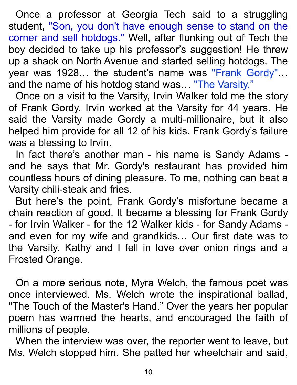Once a professor at Georgia Tech said to a struggling student, "Son, you don't have enough sense to stand on the corner and sell hotdogs." Well, after flunking out of Tech the boy decided to take up his professor's suggestion! He threw up a shack on North Avenue and started selling hotdogs. The year was 1928... the student's name was "Frank Gordy"... and the name of his hotdog stand was… "The Varsity."

Once on a visit to the Varsity, Irvin Walker told me the story of Frank Gordy. Irvin worked at the Varsity for 44 years. He said the Varsity made Gordy a multi-millionaire, but it also helped him provide for all 12 of his kids. Frank Gordy's failure was a blessing to Irvin.

In fact there's another man - his name is Sandy Adams and he says that Mr. Gordy's restaurant has provided him countless hours of dining pleasure. To me, nothing can beat a Varsity chili-steak and fries.

But here's the point, Frank Gordy's misfortune became a chain reaction of good. It became a blessing for Frank Gordy - for Irvin Walker - for the 12 Walker kids - for Sandy Adams and even for my wife and grandkids… Our first date was to the Varsity. Kathy and I fell in love over onion rings and a Frosted Orange.

On a more serious note, Myra Welch, the famous poet was once interviewed. Ms. Welch wrote the inspirational ballad, "The Touch of the Master's Hand." Over the years her popular poem has warmed the hearts, and encouraged the faith of millions of people.

When the interview was over, the reporter went to leave, but Ms. Welch stopped him. She patted her wheelchair and said,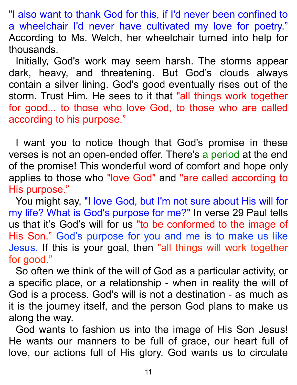"I also want to thank God for this, if I'd never been confined to a wheelchair I'd never have cultivated my love for poetry." According to Ms. Welch, her wheelchair turned into help for thousands.

Initially, God's work may seem harsh. The storms appear dark, heavy, and threatening. But God's clouds always contain a silver lining. God's good eventually rises out of the storm. Trust Him. He sees to it that "all things work together for good... to those who love God, to those who are called according to his purpose."

I want you to notice though that God's promise in these verses is not an open-ended offer. There's a period at the end of the promise! This wonderful word of comfort and hope only applies to those who "love God" and "are called according to His purpose."

You might say, "I love God, but I'm not sure about His will for my life? What is God's purpose for me?" In verse 29 Paul tells us that it's God's will for us "to be conformed to the image of His Son." God's purpose for you and me is to make us like Jesus. If this is your goal, then "all things will work together for good."

So often we think of the will of God as a particular activity, or a specific place, or a relationship - when in reality the will of God is a process. God's will is not a destination - as much as it is the journey itself, and the person God plans to make us along the way.

God wants to fashion us into the image of His Son Jesus! He wants our manners to be full of grace, our heart full of love, our actions full of His glory. God wants us to circulate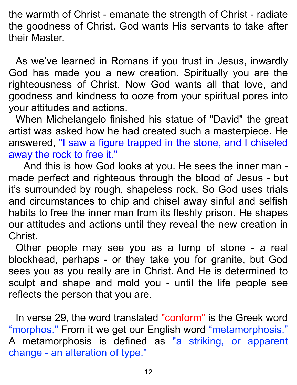the warmth of Christ - emanate the strength of Christ - radiate the goodness of Christ. God wants His servants to take after their Master.

As we've learned in Romans if you trust in Jesus, inwardly God has made you a new creation. Spiritually you are the righteousness of Christ. Now God wants all that love, and goodness and kindness to ooze from your spiritual pores into your attitudes and actions.

When Michelangelo finished his statue of "David" the great artist was asked how he had created such a masterpiece. He answered, "I saw a figure trapped in the stone, and I chiseled away the rock to free it."

 And this is how God looks at you. He sees the inner man made perfect and righteous through the blood of Jesus - but it's surrounded by rough, shapeless rock. So God uses trials and circumstances to chip and chisel away sinful and selfish habits to free the inner man from its fleshly prison. He shapes our attitudes and actions until they reveal the new creation in Christ.

Other people may see you as a lump of stone - a real blockhead, perhaps - or they take you for granite, but God sees you as you really are in Christ. And He is determined to sculpt and shape and mold you - until the life people see reflects the person that you are.

In verse 29, the word translated "conform" is the Greek word "morphos." From it we get our English word "metamorphosis." A metamorphosis is defined as "a striking, or apparent change - an alteration of type."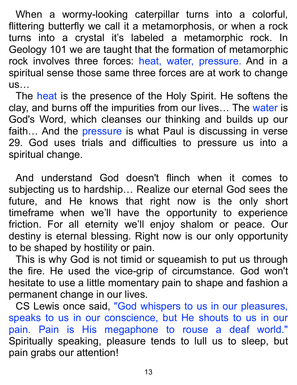When a wormy-looking caterpillar turns into a colorful, flittering butterfly we call it a metamorphosis, or when a rock turns into a crystal it's labeled a metamorphic rock. In Geology 101 we are taught that the formation of metamorphic rock involves three forces: heat, water, pressure. And in a spiritual sense those same three forces are at work to change us…

The heat is the presence of the Holy Spirit. He softens the clay, and burns off the impurities from our lives... The water is God's Word, which cleanses our thinking and builds up our faith... And the pressure is what Paul is discussing in verse 29. God uses trials and difficulties to pressure us into a spiritual change.

And understand God doesn't flinch when it comes to subjecting us to hardship… Realize our eternal God sees the future, and He knows that right now is the only short timeframe when we'll have the opportunity to experience friction. For all eternity we'll enjoy shalom or peace. Our destiny is eternal blessing. Right now is our only opportunity to be shaped by hostility or pain.

This is why God is not timid or squeamish to put us through the fire. He used the vice-grip of circumstance. God won't hesitate to use a little momentary pain to shape and fashion a permanent change in our lives.

CS Lewis once said, "God whispers to us in our pleasures, speaks to us in our conscience, but He shouts to us in our pain. Pain is His megaphone to rouse a deaf world." Spiritually speaking, pleasure tends to lull us to sleep, but pain grabs our attention!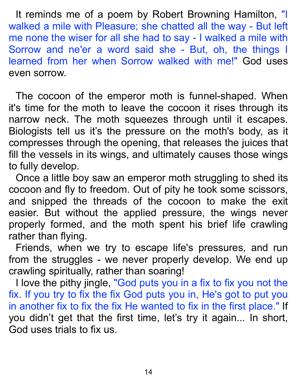It reminds me of a poem by Robert Browning Hamilton, "I walked a mile with Pleasure; she chatted all the way - But left me none the wiser for all she had to say - I walked a mile with Sorrow and ne'er a word said she - But, oh, the things I learned from her when Sorrow walked with me!" God uses even sorrow.

The cocoon of the emperor moth is funnel-shaped. When it's time for the moth to leave the cocoon it rises through its narrow neck. The moth squeezes through until it escapes. Biologists tell us it's the pressure on the moth's body, as it compresses through the opening, that releases the juices that fill the vessels in its wings, and ultimately causes those wings to fully develop.

Once a little boy saw an emperor moth struggling to shed its cocoon and fly to freedom. Out of pity he took some scissors, and snipped the threads of the cocoon to make the exit easier. But without the applied pressure, the wings never properly formed, and the moth spent his brief life crawling rather than flying.

Friends, when we try to escape life's pressures, and run from the struggles - we never properly develop. We end up crawling spiritually, rather than soaring!

I love the pithy jingle, "God puts you in a fix to fix you not the fix. If you try to fix the fix God puts you in, He's got to put you in another fix to fix the fix He wanted to fix in the first place." If you didn't get that the first time, let's try it again... In short, God uses trials to fix us.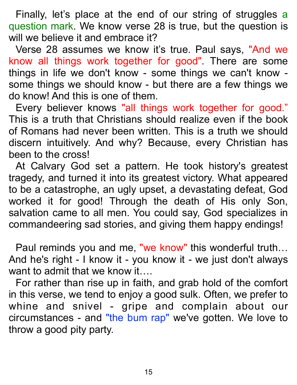Finally, let's place at the end of our string of struggles a question mark. We know verse 28 is true, but the question is will we believe it and embrace it?

Verse 28 assumes we know it's true. Paul says, "And we know all things work together for good". There are some things in life we don't know - some things we can't know some things we should know - but there are a few things we do know! And this is one of them.

Every believer knows "all things work together for good." This is a truth that Christians should realize even if the book of Romans had never been written. This is a truth we should discern intuitively. And why? Because, every Christian has been to the cross!

At Calvary God set a pattern. He took history's greatest tragedy, and turned it into its greatest victory. What appeared to be a catastrophe, an ugly upset, a devastating defeat, God worked it for good! Through the death of His only Son, salvation came to all men. You could say, God specializes in commandeering sad stories, and giving them happy endings!

Paul reminds you and me, "we know" this wonderful truth… And he's right - I know it - you know it - we just don't always want to admit that we know it....

For rather than rise up in faith, and grab hold of the comfort in this verse, we tend to enjoy a good sulk. Often, we prefer to whine and snivel - gripe and complain about our circumstances - and "the bum rap" we've gotten. We love to throw a good pity party.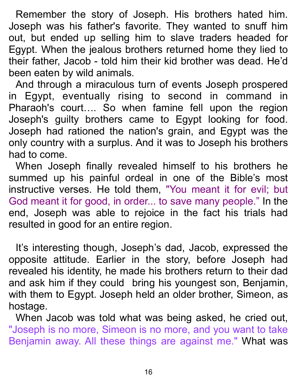Remember the story of Joseph. His brothers hated him. Joseph was his father's favorite. They wanted to snuff him out, but ended up selling him to slave traders headed for Egypt. When the jealous brothers returned home they lied to their father, Jacob - told him their kid brother was dead. He'd been eaten by wild animals.

And through a miraculous turn of events Joseph prospered in Egypt, eventually rising to second in command in Pharaoh's court…. So when famine fell upon the region Joseph's guilty brothers came to Egypt looking for food. Joseph had rationed the nation's grain, and Egypt was the only country with a surplus. And it was to Joseph his brothers had to come.

When Joseph finally revealed himself to his brothers he summed up his painful ordeal in one of the Bible's most instructive verses. He told them, "You meant it for evil; but God meant it for good, in order... to save many people." In the end, Joseph was able to rejoice in the fact his trials had resulted in good for an entire region.

It's interesting though, Joseph's dad, Jacob, expressed the opposite attitude. Earlier in the story, before Joseph had revealed his identity, he made his brothers return to their dad and ask him if they could bring his youngest son, Benjamin, with them to Egypt. Joseph held an older brother, Simeon, as hostage.

When Jacob was told what was being asked, he cried out, "Joseph is no more, Simeon is no more, and you want to take Benjamin away. All these things are against me." What was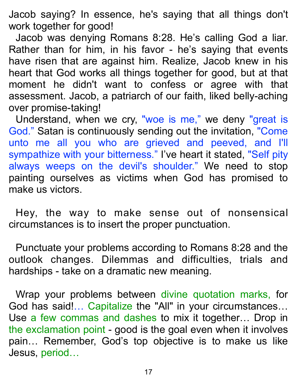Jacob saying? In essence, he's saying that all things don't work together for good!

Jacob was denying Romans 8:28. He's calling God a liar. Rather than for him, in his favor - he's saying that events have risen that are against him. Realize, Jacob knew in his heart that God works all things together for good, but at that moment he didn't want to confess or agree with that assessment. Jacob, a patriarch of our faith, liked belly-aching over promise-taking!

Understand, when we cry, "woe is me," we deny "great is God." Satan is continuously sending out the invitation, "Come unto me all you who are grieved and peeved, and I'll sympathize with your bitterness." I've heart it stated, "Self pity always weeps on the devil's shoulder." We need to stop painting ourselves as victims when God has promised to make us victors.

Hey, the way to make sense out of nonsensical circumstances is to insert the proper punctuation.

Punctuate your problems according to Romans 8:28 and the outlook changes. Dilemmas and difficulties, trials and hardships - take on a dramatic new meaning.

Wrap your problems between divine quotation marks, for God has said!… Capitalize the "All" in your circumstances… Use a few commas and dashes to mix it together… Drop in the exclamation point - good is the goal even when it involves pain… Remember, God's top objective is to make us like Jesus, period…